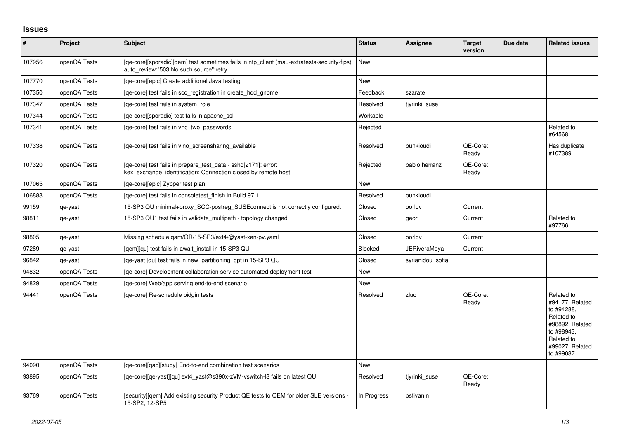## **Issues**

| $\vert$ # | Project      | <b>Subject</b>                                                                                                                       | <b>Status</b>  | Assignee            | <b>Target</b><br>version | Due date | <b>Related issues</b>                                                                                                                    |
|-----------|--------------|--------------------------------------------------------------------------------------------------------------------------------------|----------------|---------------------|--------------------------|----------|------------------------------------------------------------------------------------------------------------------------------------------|
| 107956    | openQA Tests | [ge-core][sporadic][gem] test sometimes fails in ntp client (mau-extratests-security-fips)<br>auto review:"503 No such source":retry | <b>New</b>     |                     |                          |          |                                                                                                                                          |
| 107770    | openQA Tests | [qe-core][epic] Create additional Java testing                                                                                       | <b>New</b>     |                     |                          |          |                                                                                                                                          |
| 107350    | openQA Tests | [ge-core] test fails in scc registration in create hdd gnome                                                                         | Feedback       | szarate             |                          |          |                                                                                                                                          |
| 107347    | openQA Tests | [ge-core] test fails in system role                                                                                                  | Resolved       | tiyrinki suse       |                          |          |                                                                                                                                          |
| 107344    | openQA Tests | [qe-core][sporadic] test fails in apache_ssl                                                                                         | Workable       |                     |                          |          |                                                                                                                                          |
| 107341    | openQA Tests | [ge-core] test fails in vnc two passwords                                                                                            | Rejected       |                     |                          |          | Related to<br>#64568                                                                                                                     |
| 107338    | openQA Tests | [ge-core] test fails in vino screensharing available                                                                                 | Resolved       | punkioudi           | QE-Core:<br>Ready        |          | Has duplicate<br>#107389                                                                                                                 |
| 107320    | openQA Tests | [qe-core] test fails in prepare_test_data - sshd[2171]: error:<br>kex_exchange_identification: Connection closed by remote host      | Rejected       | pablo.herranz       | QE-Core:<br>Ready        |          |                                                                                                                                          |
| 107065    | openQA Tests | [qe-core][epic] Zypper test plan                                                                                                     | <b>New</b>     |                     |                          |          |                                                                                                                                          |
| 106888    | openQA Tests | [qe-core] test fails in consoletest_finish in Build 97.1                                                                             | Resolved       | punkioudi           |                          |          |                                                                                                                                          |
| 99159     | qe-yast      | 15-SP3 QU minimal+proxy_SCC-postreg_SUSEconnect is not correctly configured.                                                         | Closed         | oorlov              | Current                  |          |                                                                                                                                          |
| 98811     | qe-yast      | 15-SP3 QU1 test fails in validate multipath - topology changed                                                                       | Closed         | geor                | Current                  |          | Related to<br>#97766                                                                                                                     |
| 98805     | qe-yast      | Missing schedule qam/QR/15-SP3/ext4\@yast-xen-pv.yaml                                                                                | Closed         | oorlov              | Current                  |          |                                                                                                                                          |
| 97289     | qe-yast      | [gem][gu] test fails in await install in 15-SP3 QU                                                                                   | <b>Blocked</b> | <b>JERiveraMoya</b> | Current                  |          |                                                                                                                                          |
| 96842     | qe-yast      | [ge-yast][gu] test fails in new partitioning gpt in 15-SP3 QU                                                                        | Closed         | syrianidou sofia    |                          |          |                                                                                                                                          |
| 94832     | openQA Tests | [ge-core] Development collaboration service automated deployment test                                                                | <b>New</b>     |                     |                          |          |                                                                                                                                          |
| 94829     | openQA Tests | [qe-core] Web/app serving end-to-end scenario                                                                                        | New            |                     |                          |          |                                                                                                                                          |
| 94441     | openQA Tests | [ge-core] Re-schedule pidgin tests                                                                                                   | Resolved       | zluo                | QE-Core:<br>Ready        |          | Related to<br>#94177, Related<br>to #94288,<br>Related to<br>#98892, Related<br>to #98943,<br>Related to<br>#99027, Related<br>to #99087 |
| 94090     | openQA Tests | [ge-core][gac][study] End-to-end combination test scenarios                                                                          | New            |                     |                          |          |                                                                                                                                          |
| 93895     | openQA Tests | [qe-core][qe-yast][qu] ext4_yast@s390x-zVM-vswitch-l3 fails on latest QU                                                             | Resolved       | tiyrinki suse       | QE-Core:<br>Ready        |          |                                                                                                                                          |
| 93769     | openQA Tests | [security][qem] Add existing security Product QE tests to QEM for older SLE versions -<br>15-SP2, 12-SP5                             | In Progress    | pstivanin           |                          |          |                                                                                                                                          |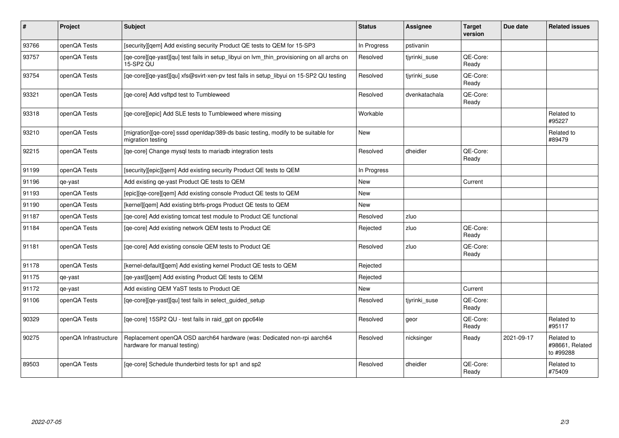| #     | Project               | Subject                                                                                                 | <b>Status</b> | <b>Assignee</b> | <b>Target</b><br>version | Due date   | <b>Related issues</b>                      |
|-------|-----------------------|---------------------------------------------------------------------------------------------------------|---------------|-----------------|--------------------------|------------|--------------------------------------------|
| 93766 | openQA Tests          | [security][qem] Add existing security Product QE tests to QEM for 15-SP3                                | In Progress   | pstivanin       |                          |            |                                            |
| 93757 | openQA Tests          | [qe-core][qe-yast][qu] test fails in setup_libyui on lvm_thin_provisioning on all archs on<br>15-SP2 QU | Resolved      | tjyrinki_suse   | QE-Core:<br>Ready        |            |                                            |
| 93754 | openQA Tests          | [qe-core][qe-yast][qu] xfs@svirt-xen-pv test fails in setup_libyui on 15-SP2 QU testing                 | Resolved      | tjyrinki_suse   | QE-Core:<br>Ready        |            |                                            |
| 93321 | openQA Tests          | [ge-core] Add vsftpd test to Tumbleweed                                                                 | Resolved      | dvenkatachala   | QE-Core:<br>Ready        |            |                                            |
| 93318 | openQA Tests          | [qe-core][epic] Add SLE tests to Tumbleweed where missing                                               | Workable      |                 |                          |            | Related to<br>#95227                       |
| 93210 | openQA Tests          | [migration][qe-core] sssd openIdap/389-ds basic testing, modify to be suitable for<br>migration testing | New           |                 |                          |            | Related to<br>#89479                       |
| 92215 | openQA Tests          | [qe-core] Change mysql tests to mariadb integration tests                                               | Resolved      | dheidler        | QE-Core:<br>Ready        |            |                                            |
| 91199 | openQA Tests          | [security][epic][qem] Add existing security Product QE tests to QEM                                     | In Progress   |                 |                          |            |                                            |
| 91196 | qe-yast               | Add existing ge-yast Product QE tests to QEM                                                            | New           |                 | Current                  |            |                                            |
| 91193 | openQA Tests          | [epic][ge-core][gem] Add existing console Product QE tests to QEM                                       | <b>New</b>    |                 |                          |            |                                            |
| 91190 | openQA Tests          | [kernel][gem] Add existing btrfs-progs Product QE tests to QEM                                          | <b>New</b>    |                 |                          |            |                                            |
| 91187 | openQA Tests          | [qe-core] Add existing tomcat test module to Product QE functional                                      | Resolved      | zluo            |                          |            |                                            |
| 91184 | openQA Tests          | [qe-core] Add existing network QEM tests to Product QE                                                  | Rejected      | zluo            | QE-Core:<br>Ready        |            |                                            |
| 91181 | openQA Tests          | [qe-core] Add existing console QEM tests to Product QE                                                  | Resolved      | zluo            | QE-Core:<br>Ready        |            |                                            |
| 91178 | openQA Tests          | [kernel-default][gem] Add existing kernel Product QE tests to QEM                                       | Rejected      |                 |                          |            |                                            |
| 91175 | qe-yast               | [qe-yast][qem] Add existing Product QE tests to QEM                                                     | Rejected      |                 |                          |            |                                            |
| 91172 | qe-yast               | Add existing QEM YaST tests to Product QE                                                               | New           |                 | Current                  |            |                                            |
| 91106 | openQA Tests          | [qe-core][qe-yast][qu] test fails in select_guided_setup                                                | Resolved      | tiyrinki suse   | QE-Core:<br>Ready        |            |                                            |
| 90329 | openQA Tests          | [qe-core] 15SP2 QU - test fails in raid_gpt on ppc64le                                                  | Resolved      | geor            | QE-Core:<br>Ready        |            | Related to<br>#95117                       |
| 90275 | openQA Infrastructure | Replacement openQA OSD aarch64 hardware (was: Dedicated non-rpi aarch64<br>hardware for manual testing) | Resolved      | nicksinger      | Ready                    | 2021-09-17 | Related to<br>#98661, Related<br>to #99288 |
| 89503 | openQA Tests          | [qe-core] Schedule thunderbird tests for sp1 and sp2                                                    | Resolved      | dheidler        | QE-Core:<br>Ready        |            | Related to<br>#75409                       |